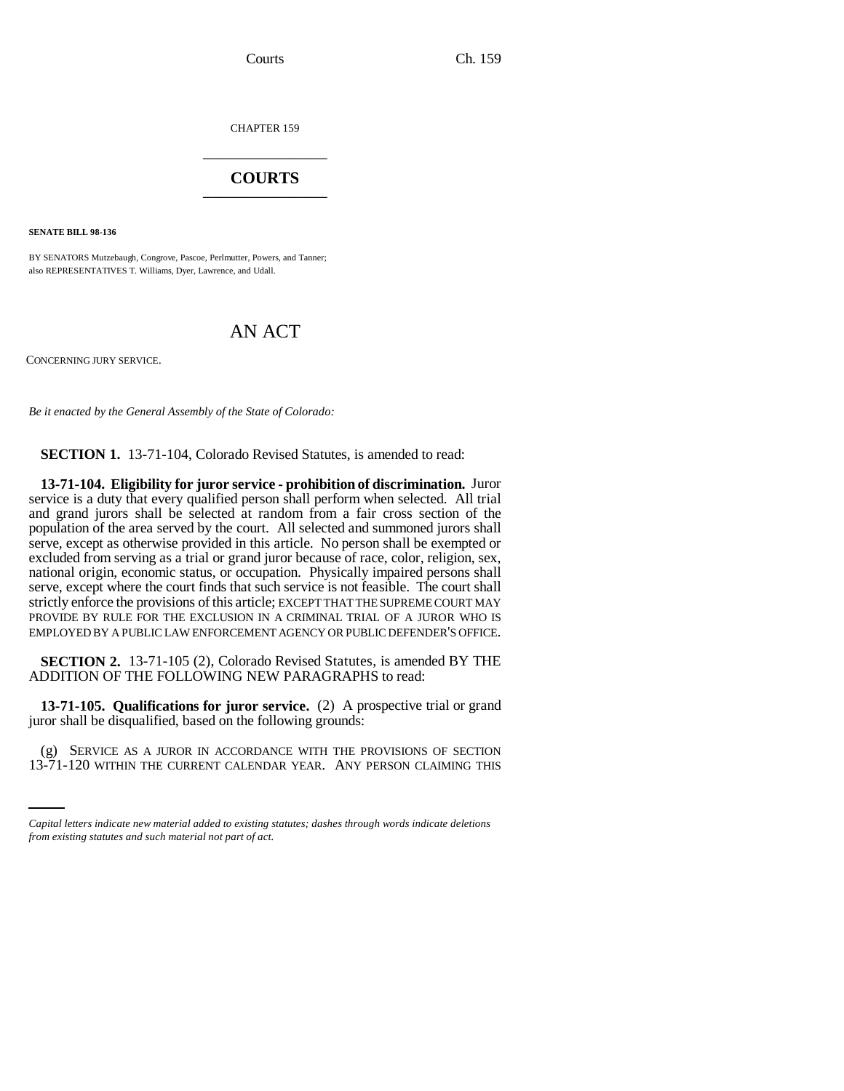CHAPTER 159 \_\_\_\_\_\_\_\_\_\_\_\_\_\_\_

## **COURTS** \_\_\_\_\_\_\_\_\_\_\_\_\_\_\_

**SENATE BILL 98-136**

BY SENATORS Mutzebaugh, Congrove, Pascoe, Perlmutter, Powers, and Tanner; also REPRESENTATIVES T. Williams, Dyer, Lawrence, and Udall.

## AN ACT

CONCERNING JURY SERVICE.

*Be it enacted by the General Assembly of the State of Colorado:*

**SECTION 1.** 13-71-104, Colorado Revised Statutes, is amended to read:

**13-71-104. Eligibility for juror service - prohibition of discrimination.** Juror service is a duty that every qualified person shall perform when selected. All trial and grand jurors shall be selected at random from a fair cross section of the population of the area served by the court. All selected and summoned jurors shall serve, except as otherwise provided in this article. No person shall be exempted or excluded from serving as a trial or grand juror because of race, color, religion, sex, national origin, economic status, or occupation. Physically impaired persons shall serve, except where the court finds that such service is not feasible. The court shall strictly enforce the provisions of this article; EXCEPT THAT THE SUPREME COURT MAY PROVIDE BY RULE FOR THE EXCLUSION IN A CRIMINAL TRIAL OF A JUROR WHO IS EMPLOYED BY A PUBLIC LAW ENFORCEMENT AGENCY OR PUBLIC DEFENDER'S OFFICE.

**SECTION 2.** 13-71-105 (2), Colorado Revised Statutes, is amended BY THE ADDITION OF THE FOLLOWING NEW PARAGRAPHS to read:

**13-71-105. Qualifications for juror service.** (2) A prospective trial or grand juror shall be disqualified, based on the following grounds:

(g) SERVICE AS A JUROR IN ACCORDANCE WITH THE PROVISIONS OF SECTION 13-71-120 WITHIN THE CURRENT CALENDAR YEAR. ANY PERSON CLAIMING THIS

*Capital letters indicate new material added to existing statutes; dashes through words indicate deletions from existing statutes and such material not part of act.*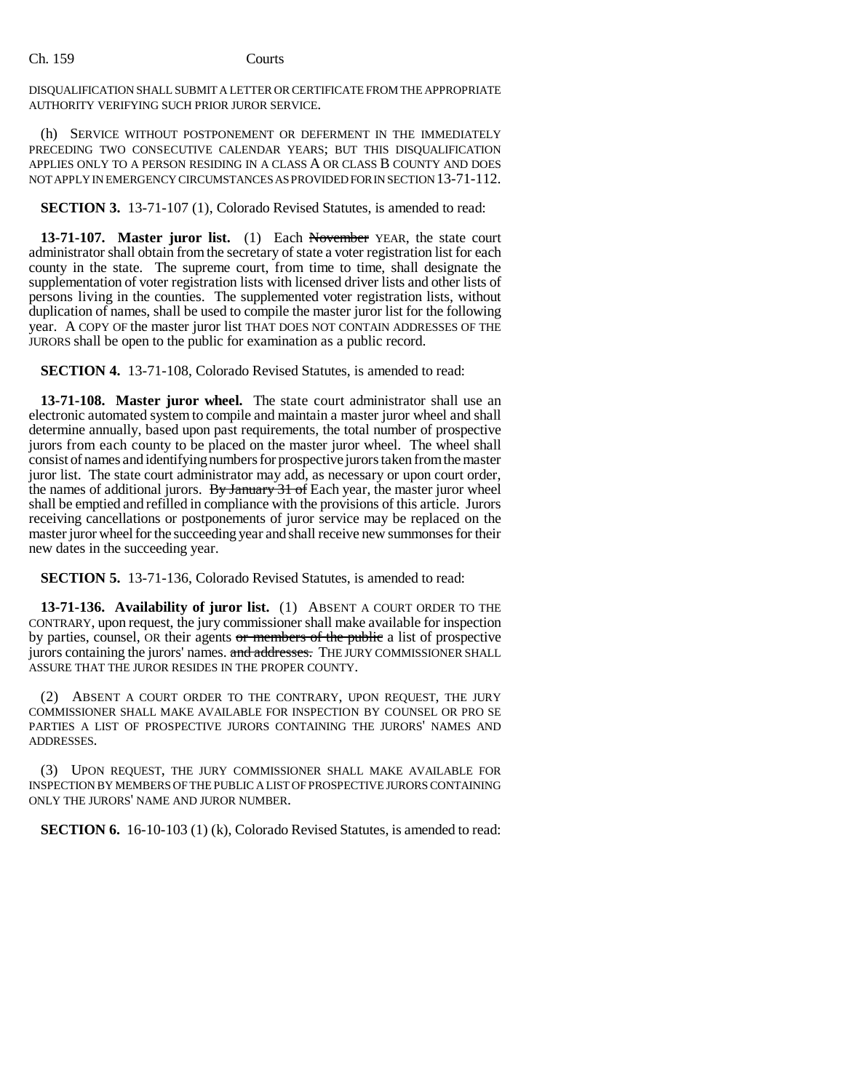## Ch. 159 Courts

DISQUALIFICATION SHALL SUBMIT A LETTER OR CERTIFICATE FROM THE APPROPRIATE AUTHORITY VERIFYING SUCH PRIOR JUROR SERVICE.

(h) SERVICE WITHOUT POSTPONEMENT OR DEFERMENT IN THE IMMEDIATELY PRECEDING TWO CONSECUTIVE CALENDAR YEARS; BUT THIS DISQUALIFICATION APPLIES ONLY TO A PERSON RESIDING IN A CLASS A OR CLASS B COUNTY AND DOES NOT APPLY IN EMERGENCY CIRCUMSTANCES AS PROVIDED FOR IN SECTION 13-71-112.

**SECTION 3.** 13-71-107 (1), Colorado Revised Statutes, is amended to read:

**13-71-107. Master juror list.** (1) Each November YEAR, the state court administrator shall obtain from the secretary of state a voter registration list for each county in the state. The supreme court, from time to time, shall designate the supplementation of voter registration lists with licensed driver lists and other lists of persons living in the counties. The supplemented voter registration lists, without duplication of names, shall be used to compile the master juror list for the following year. A COPY OF the master juror list THAT DOES NOT CONTAIN ADDRESSES OF THE JURORS shall be open to the public for examination as a public record.

**SECTION 4.** 13-71-108, Colorado Revised Statutes, is amended to read:

**13-71-108. Master juror wheel.** The state court administrator shall use an electronic automated system to compile and maintain a master juror wheel and shall determine annually, based upon past requirements, the total number of prospective jurors from each county to be placed on the master juror wheel. The wheel shall consist of names and identifying numbers for prospective jurors taken from the master juror list. The state court administrator may add, as necessary or upon court order, the names of additional jurors. By January  $31$  of Each year, the master juror wheel shall be emptied and refilled in compliance with the provisions of this article. Jurors receiving cancellations or postponements of juror service may be replaced on the master juror wheel for the succeeding year and shall receive new summonses for their new dates in the succeeding year.

**SECTION 5.** 13-71-136, Colorado Revised Statutes, is amended to read:

**13-71-136. Availability of juror list.** (1) ABSENT A COURT ORDER TO THE CONTRARY, upon request, the jury commissioner shall make available for inspection by parties, counsel, OR their agents or members of the public a list of prospective jurors containing the jurors' names. and addresses. THE JURY COMMISSIONER SHALL ASSURE THAT THE JUROR RESIDES IN THE PROPER COUNTY.

(2) ABSENT A COURT ORDER TO THE CONTRARY, UPON REQUEST, THE JURY COMMISSIONER SHALL MAKE AVAILABLE FOR INSPECTION BY COUNSEL OR PRO SE PARTIES A LIST OF PROSPECTIVE JURORS CONTAINING THE JURORS' NAMES AND ADDRESSES.

(3) UPON REQUEST, THE JURY COMMISSIONER SHALL MAKE AVAILABLE FOR INSPECTION BY MEMBERS OF THE PUBLIC A LIST OF PROSPECTIVE JURORS CONTAINING ONLY THE JURORS' NAME AND JUROR NUMBER.

**SECTION 6.** 16-10-103 (1) (k), Colorado Revised Statutes, is amended to read: